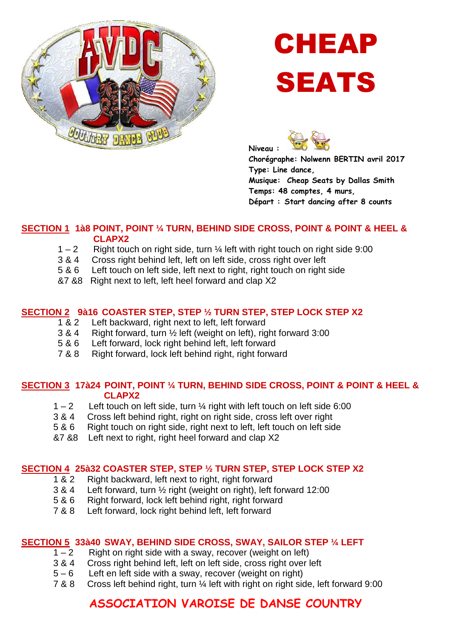

# CHEAP SEATS



**Chorégraphe: Nolwenn BERTIN avril 2017 Type: Line dance, Musique: Cheap Seats by Dallas Smith Temps: 48 comptes, 4 murs, Départ : Start dancing after 8 counts** 

#### **SECTION 1 1à8 POINT, POINT ¼ TURN, BEHIND SIDE CROSS, POINT & POINT & HEEL & CLAPX2**

- $1 2$  Right touch on right side, turn  $\frac{1}{4}$  left with right touch on right side 9:00
- 3 & 4 Cross right behind left, left on left side, cross right over left
- 5 & 6 Left touch on left side, left next to right, right touch on right side
- &7 &8 Right next to left, left heel forward and clap X2

#### **SECTION 2 9à16 COASTER STEP, STEP ½ TURN STEP, STEP LOCK STEP X2**

- 1 & 2 Left backward, right next to left, left forward
- 3 & 4 Right forward, turn ½ left (weight on left), right forward 3:00
- 5 & 6 Left forward, lock right behind left, left forward
- 7 & 8 Right forward, lock left behind right, right forward

#### **SECTION 3 17à24 POINT, POINT ¼ TURN, BEHIND SIDE CROSS, POINT & POINT & HEEL & CLAPX2**

- $1 2$  Left touch on left side, turn  $\frac{1}{4}$  right with left touch on left side 6:00
- 3 & 4 Cross left behind right, right on right side, cross left over right<br>5 & 6 Right touch on right side, right next to left, left touch on left sid
- Right touch on right side, right next to left, left touch on left side
- &7 &8 Left next to right, right heel forward and clap X2

#### **SECTION 4 25à32 COASTER STEP, STEP ½ TURN STEP, STEP LOCK STEP X2**

- 1 & 2 Right backward, left next to right, right forward
- 3 & 4 Left forward, turn ½ right (weight on right), left forward 12:00
- 5 & 6 Right forward, lock left behind right, right forward
- 7 & 8 Left forward, lock right behind left, left forward

#### **SECTION 5 33à40 SWAY, BEHIND SIDE CROSS, SWAY, SAILOR STEP ¼ LEFT**

- $\overline{1-2}$  Right on right side with a sway, recover (weight on left)
- 3 & 4 Cross right behind left, left on left side, cross right over left
- 5 6 Left en left side with a sway, recover (weight on right)
- 7 & 8 Cross left behind right, turn ¼ left with right on right side, left forward 9:00

## **ASSOCIATION VAROISE DE DANSE COUNTRY**